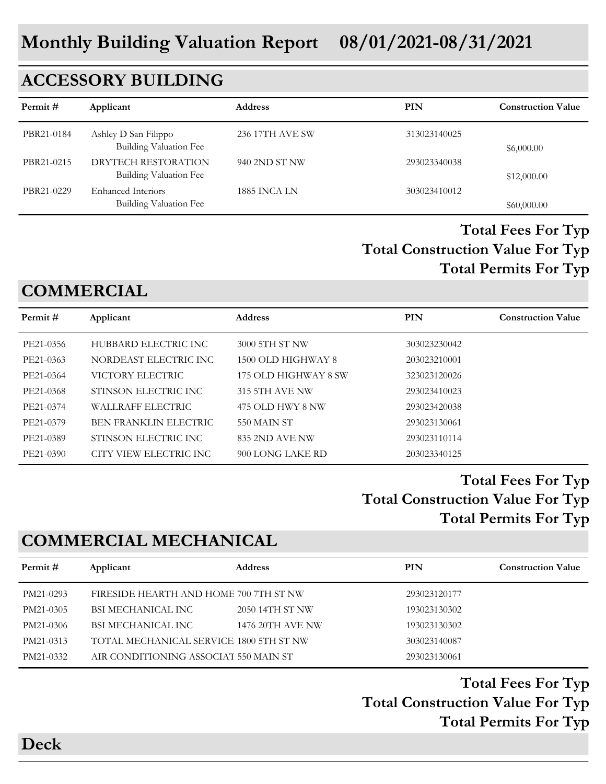# **ACCESSORY BUILDING**

| Permit #   | Applicant                                             | <b>Address</b>      | PIN          | <b>Construction Value</b> |
|------------|-------------------------------------------------------|---------------------|--------------|---------------------------|
| PBR21-0184 | Ashley D San Filippo<br><b>Building Valuation Fee</b> | 236 17TH AVE SW     | 313023140025 | \$6,000.00                |
| PBR21-0215 | DRYTECH RESTORATION<br>Building Valuation Fee         | 940 2ND ST NW       | 293023340038 | \$12,000.00               |
| PBR21-0229 | <b>Enhanced Interiors</b><br>Building Valuation Fee   | <b>1885 INCA LN</b> | 303023410012 | \$60,000.00               |

#### **Total Construction Value For Typ Total Fees For Typ Total Permits For Typ**

# **COMMERCIAL**

| Permit#   | Applicant                    | <b>Address</b>        | <b>PIN</b>   | <b>Construction Value</b> |
|-----------|------------------------------|-----------------------|--------------|---------------------------|
| PE21-0356 | HUBBARD ELECTRIC INC         | 3000 5TH ST NW        | 303023230042 |                           |
| PE21-0363 | NORDEAST ELECTRIC INC        | 1500 OLD HIGHWAY 8    | 203023210001 |                           |
| PE21-0364 | VICTORY ELECTRIC             | 175 OLD HIGHWAY 8 SW  | 323023120026 |                           |
| PE21-0368 | STINSON ELECTRIC INC         | <b>315 5TH AVE NW</b> | 293023410023 |                           |
| PE21-0374 | <b>WALLRAFF ELECTRIC</b>     | 475 OLD HWY 8 NW      | 293023420038 |                           |
| PE21-0379 | <b>BEN FRANKLIN ELECTRIC</b> | 550 MAIN ST           | 293023130061 |                           |
| PE21-0389 | STINSON ELECTRIC INC         | 835 2ND AVE NW        | 293023110114 |                           |
| PE21-0390 | CITY VIEW ELECTRIC INC       | 900 LONG LAKE RD      | 203023340125 |                           |
|           |                              |                       |              |                           |

### **Total Construction Value For Typ Total Fees For Typ Total Permits For Typ**

# **COMMERCIAL MECHANICAL**

| Permit #  | Applicant                               | <b>Address</b>   | PIN          | <b>Construction Value</b> |
|-----------|-----------------------------------------|------------------|--------------|---------------------------|
| PM21-0293 | FIRESIDE HEARTH AND HOME 700 7TH ST NW  |                  | 293023120177 |                           |
| PM21-0305 | BSI MECHANICAL INC                      | 2050 14TH ST NW  | 193023130302 |                           |
| PM21-0306 | BSI MECHANICAL INC                      | 1476 20TH AVE NW | 193023130302 |                           |
| PM21-0313 | TOTAL MECHANICAL SERVICE 1800 5TH ST NW |                  | 303023140087 |                           |
| PM21-0332 | AIR CONDITIONING ASSOCIAT 550 MAIN ST   |                  | 293023130061 |                           |
|           |                                         |                  |              |                           |

**Total Construction Value For Typ Total Fees For Typ Total Permits For Typ** 

**Deck**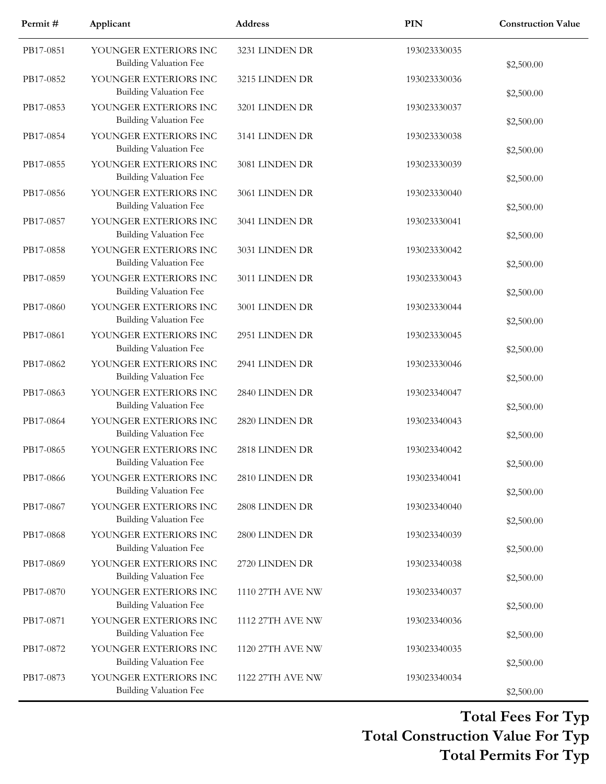| Permit#   | Applicant                                              | <b>Address</b>   | <b>PIN</b>   | <b>Construction Value</b> |
|-----------|--------------------------------------------------------|------------------|--------------|---------------------------|
| PB17-0851 | YOUNGER EXTERIORS INC<br><b>Building Valuation Fee</b> | 3231 LINDEN DR   | 193023330035 | \$2,500.00                |
| PB17-0852 | YOUNGER EXTERIORS INC<br><b>Building Valuation Fee</b> | 3215 LINDEN DR   | 193023330036 | \$2,500.00                |
| PB17-0853 | YOUNGER EXTERIORS INC<br><b>Building Valuation Fee</b> | 3201 LINDEN DR   | 193023330037 | \$2,500.00                |
| PB17-0854 | YOUNGER EXTERIORS INC<br><b>Building Valuation Fee</b> | 3141 LINDEN DR   | 193023330038 | \$2,500.00                |
| PB17-0855 | YOUNGER EXTERIORS INC<br><b>Building Valuation Fee</b> | 3081 LINDEN DR   | 193023330039 | \$2,500.00                |
| PB17-0856 | YOUNGER EXTERIORS INC<br><b>Building Valuation Fee</b> | 3061 LINDEN DR   | 193023330040 | \$2,500.00                |
| PB17-0857 | YOUNGER EXTERIORS INC<br><b>Building Valuation Fee</b> | 3041 LINDEN DR   | 193023330041 | \$2,500.00                |
| PB17-0858 | YOUNGER EXTERIORS INC<br><b>Building Valuation Fee</b> | 3031 LINDEN DR   | 193023330042 | \$2,500.00                |
| PB17-0859 | YOUNGER EXTERIORS INC<br><b>Building Valuation Fee</b> | 3011 LINDEN DR   | 193023330043 | \$2,500.00                |
| PB17-0860 | YOUNGER EXTERIORS INC<br><b>Building Valuation Fee</b> | 3001 LINDEN DR   | 193023330044 | \$2,500.00                |
| PB17-0861 | YOUNGER EXTERIORS INC<br><b>Building Valuation Fee</b> | 2951 LINDEN DR   | 193023330045 | \$2,500.00                |
| PB17-0862 | YOUNGER EXTERIORS INC<br><b>Building Valuation Fee</b> | 2941 LINDEN DR   | 193023330046 | \$2,500.00                |
| PB17-0863 | YOUNGER EXTERIORS INC<br><b>Building Valuation Fee</b> | 2840 LINDEN DR   | 193023340047 | \$2,500.00                |
| PB17-0864 | YOUNGER EXTERIORS INC<br><b>Building Valuation Fee</b> | 2820 LINDEN DR   | 193023340043 | \$2,500.00                |
| PB17-0865 | YOUNGER EXTERIORS INC<br>Building Valuation Fee        | 2818 LINDEN DR   | 193023340042 | \$2,500.00                |
| PB17-0866 | YOUNGER EXTERIORS INC<br><b>Building Valuation Fee</b> | 2810 LINDEN DR   | 193023340041 | \$2,500.00                |
| PB17-0867 | YOUNGER EXTERIORS INC<br><b>Building Valuation Fee</b> | 2808 LINDEN DR   | 193023340040 | \$2,500.00                |
| PB17-0868 | YOUNGER EXTERIORS INC<br><b>Building Valuation Fee</b> | 2800 LINDEN DR   | 193023340039 | \$2,500.00                |
| PB17-0869 | YOUNGER EXTERIORS INC<br><b>Building Valuation Fee</b> | 2720 LINDEN DR   | 193023340038 | \$2,500.00                |
| PB17-0870 | YOUNGER EXTERIORS INC<br><b>Building Valuation Fee</b> | 1110 27TH AVE NW | 193023340037 | \$2,500.00                |
| PB17-0871 | YOUNGER EXTERIORS INC<br><b>Building Valuation Fee</b> | 1112 27TH AVE NW | 193023340036 | \$2,500.00                |
| PB17-0872 | YOUNGER EXTERIORS INC<br><b>Building Valuation Fee</b> | 1120 27TH AVE NW | 193023340035 | \$2,500.00                |
| PB17-0873 | YOUNGER EXTERIORS INC<br><b>Building Valuation Fee</b> | 1122 27TH AVE NW | 193023340034 | \$2,500.00                |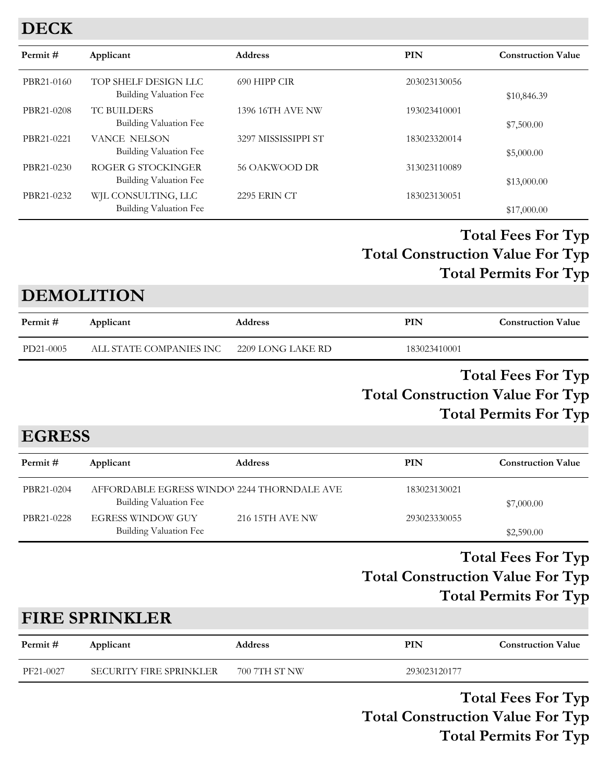### **DECK**

| Permit#    | Applicant                                      | <b>Address</b>          | <b>PIN</b>   | <b>Construction Value</b> |
|------------|------------------------------------------------|-------------------------|--------------|---------------------------|
| PBR21-0160 | TOP SHELF DESIGN LLC<br>Building Valuation Fee | 690 HIPP CIR            | 203023130056 | \$10,846.39               |
| PBR21-0208 | <b>TC BUILDERS</b><br>Building Valuation Fee   | <b>1396 16TH AVE NW</b> | 193023410001 | \$7,500.00                |
| PBR21-0221 | <b>VANCE NELSON</b><br>Building Valuation Fee  | 3297 MISSISSIPPI ST     | 183023320014 | \$5,000.00                |
| PBR21-0230 | ROGER G STOCKINGER<br>Building Valuation Fee   | 56 OAKWOOD DR           | 313023110089 | \$13,000.00               |
| PBR21-0232 | WJL CONSULTING, LLC<br>Building Valuation Fee  | <b>2295 ERIN CT</b>     | 183023130051 | \$17,000.00               |

### **Total Construction Value For Typ Total Fees For Typ Total Permits For Typ**

#### **DEMOLITION**

| Permit #  | Applicant               | <b>Address</b>    | PIN          | <b>Construction Value</b> |
|-----------|-------------------------|-------------------|--------------|---------------------------|
| PD21-0005 | ALL STATE COMPANIES INC | 2209 LONG LAKE RD | 183023410001 |                           |

#### **Total Construction Value For Typ Total Fees For Typ Total Permits For Typ**

**EGRESS**

| Permit #   | Applicant                                                             | <b>Address</b>  | PIN          | <b>Construction Value</b> |
|------------|-----------------------------------------------------------------------|-----------------|--------------|---------------------------|
| PBR21-0204 | AFFORDABLE EGRESS WINDO' 2244 THORNDALE AVE<br>Building Valuation Fee |                 | 183023130021 | \$7,000.00                |
| PBR21-0228 | <b>EGRESS WINDOW GUY</b><br>Building Valuation Fee                    | 216 15TH AVE NW | 293023330055 | \$2,590.00                |

#### **Total Construction Value For Typ Total Fees For Typ Total Permits For Typ**

# **FIRE SPRINKLER**

| Permit #  | Applicant               | Address       | PIN          | <b>Construction Value</b> |
|-----------|-------------------------|---------------|--------------|---------------------------|
| PF21-0027 | SECURITY FIRE SPRINKLER | 700 7TH ST NW | 293023120177 |                           |

**Total Construction Value For Typ Total Fees For Typ Total Permits For Typ**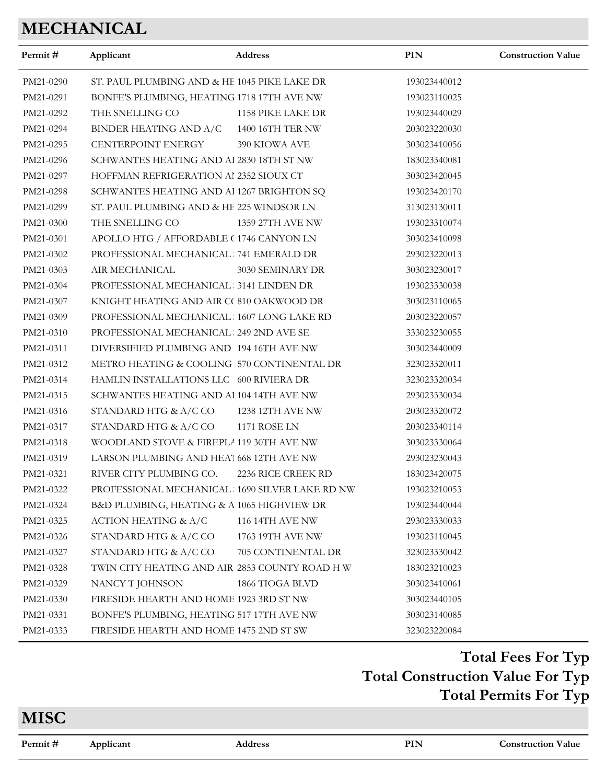# **MECHANICAL**

| Permit#   | Applicant                                        | Address                | PIN          | <b>Construction Value</b> |
|-----------|--------------------------------------------------|------------------------|--------------|---------------------------|
| PM21-0290 | ST. PAUL PLUMBING AND & HE 1045 PIKE LAKE DR     |                        | 193023440012 |                           |
| PM21-0291 | BONFE'S PLUMBING, HEATING 1718 17TH AVE NW       |                        | 193023110025 |                           |
| PM21-0292 | THE SNELLING CO                                  | 1158 PIKE LAKE DR      | 193023440029 |                           |
| PM21-0294 | BINDER HEATING AND A/C                           | 1400 16TH TER NW       | 203023220030 |                           |
| PM21-0295 | CENTERPOINT ENERGY                               | 390 KIOWA AVE          | 303023410056 |                           |
| PM21-0296 | SCHWANTES HEATING AND Al 2830 18TH ST NW         |                        | 183023340081 |                           |
| PM21-0297 | HOFFMAN REFRIGERATION AI 2352 SIOUX CT           |                        | 303023420045 |                           |
| PM21-0298 | SCHWANTES HEATING AND Al 1267 BRIGHTON SQ        |                        | 193023420170 |                           |
| PM21-0299 | ST. PAUL PLUMBING AND & HE 225 WINDSOR LN        |                        | 313023130011 |                           |
| PM21-0300 | THE SNELLING CO                                  | 1359 27TH AVE NW       | 193023310074 |                           |
| PM21-0301 | APOLLO HTG / AFFORDABLE (1746 CANYON LN          |                        | 303023410098 |                           |
| PM21-0302 | PROFESSIONAL MECHANICAL 741 EMERALD DR           |                        | 293023220013 |                           |
| PM21-0303 | AIR MECHANICAL                                   | 3030 SEMINARY DR       | 303023230017 |                           |
| PM21-0304 | PROFESSIONAL MECHANICAL : 3141 LINDEN DR         |                        | 193023330038 |                           |
| PM21-0307 | KNIGHT HEATING AND AIR C( 810 OAKWOOD DR         |                        | 303023110065 |                           |
| PM21-0309 | PROFESSIONAL MECHANICAL 1607 LONG LAKE RD        |                        | 203023220057 |                           |
| PM21-0310 | PROFESSIONAL MECHANICAL : 249 2ND AVE SE         |                        | 333023230055 |                           |
| PM21-0311 | DIVERSIFIED PLUMBING AND 194 16TH AVE NW         |                        | 303023440009 |                           |
| PM21-0312 | METRO HEATING & COOLING 570 CONTINENTAL DR       |                        | 323023320011 |                           |
| PM21-0314 | HAMLIN INSTALLATIONS LLC 600 RIVIERA DR          |                        | 323023320034 |                           |
| PM21-0315 | SCHWANTES HEATING AND AI 104 14TH AVE NW         |                        | 293023330034 |                           |
| PM21-0316 | STANDARD HTG & A/C CO 1238 12TH AVE NW           |                        | 203023320072 |                           |
| PM21-0317 | STANDARD HTG & A/C CO                            | <b>1171 ROSE LN</b>    | 203023340114 |                           |
| PM21-0318 | WOODLAND STOVE & FIREPLA 119 30TH AVE NW         |                        | 303023330064 |                           |
| PM21-0319 | LARSON PLUMBING AND HEA' 668 12TH AVE NW         |                        | 293023230043 |                           |
| PM21-0321 | RIVER CITY PLUMBING CO.                          | 2236 RICE CREEK RD     | 183023420075 |                           |
| PM21-0322 | PROFESSIONAL MECHANICAL : 1690 SILVER LAKE RD NW |                        | 193023210053 |                           |
| PM21-0324 | B&D PLUMBING, HEATING & A 1065 HIGHVIEW DR       |                        | 193023440044 |                           |
| PM21-0325 | ACTION HEATING & A/C                             | <b>116 14TH AVE NW</b> | 293023330033 |                           |
| PM21-0326 | STANDARD HTG & A/C CO                            | 1763 19TH AVE NW       | 193023110045 |                           |
| PM21-0327 | STANDARD HTG & A/C CO                            | 705 CONTINENTAL DR     | 323023330042 |                           |
| PM21-0328 | TWIN CITY HEATING AND AIR 2853 COUNTY ROAD H W   |                        | 183023210023 |                           |
| PM21-0329 | NANCY T JOHNSON                                  | 1866 TIOGA BLVD        | 303023410061 |                           |
| PM21-0330 | FIRESIDE HEARTH AND HOME 1923 3RD ST NW          |                        | 303023440105 |                           |
| PM21-0331 | BONFE'S PLUMBING, HEATING 517 17TH AVE NW        |                        | 303023140085 |                           |
| PM21-0333 | FIRESIDE HEARTH AND HOME 1475 2ND ST SW          |                        | 323023220084 |                           |

# **Total Construction Value For Typ Total Fees For Typ Total Permits For Typ**

**MISC**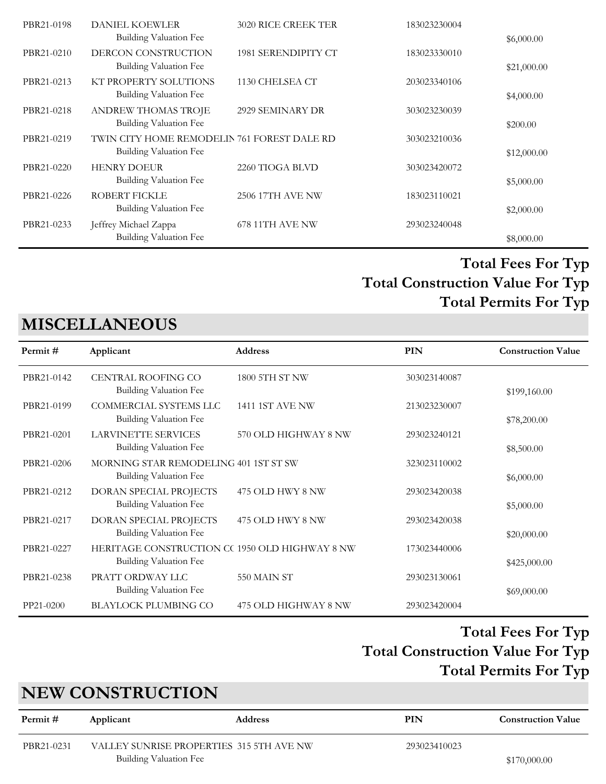| PBR21-0198 | <b>DANIEL KOEWLER</b>                       | <b>3020 RICE CREEK TER</b> | 183023230004 |             |
|------------|---------------------------------------------|----------------------------|--------------|-------------|
|            | Building Valuation Fee                      |                            |              | \$6,000.00  |
| PBR21-0210 | DERCON CONSTRUCTION                         | 1981 SERENDIPITY CT        | 183023330010 |             |
|            | Building Valuation Fee                      |                            |              | \$21,000.00 |
| PBR21-0213 | KT PROPERTY SOLUTIONS                       | 1130 CHELSEA CT            | 203023340106 |             |
|            | <b>Building Valuation Fee</b>               |                            |              | \$4,000.00  |
| PBR21-0218 | ANDREW THOMAS TROJE                         | 2929 SEMINARY DR           | 303023230039 |             |
|            | Building Valuation Fee                      |                            |              | \$200.00    |
| PBR21-0219 | TWIN CITY HOME REMODELIN 761 FOREST DALE RD |                            | 303023210036 |             |
|            | Building Valuation Fee                      |                            |              | \$12,000.00 |
| PBR21-0220 | <b>HENRY DOEUR</b>                          | 2260 TIOGA BLVD            | 303023420072 |             |
|            | Building Valuation Fee                      |                            |              | \$5,000.00  |
| PBR21-0226 | <b>ROBERT FICKLE</b>                        | 2506 17TH AVE NW           | 183023110021 |             |
|            | Building Valuation Fee                      |                            |              | \$2,000.00  |
| PBR21-0233 | Jeffrey Michael Zappa                       | 678 11TH AVE NW            | 293023240048 |             |
|            | Building Valuation Fee                      |                            |              | \$8,000.00  |

# **MISCELLANEOUS**

| Applicant                     | <b>Address</b>                                                                                                                      | <b>PIN</b>                                                                                                      | <b>Construction Value</b>    |
|-------------------------------|-------------------------------------------------------------------------------------------------------------------------------------|-----------------------------------------------------------------------------------------------------------------|------------------------------|
| CENTRAL ROOFING CO            | 1800 5TH ST NW                                                                                                                      | 303023140087                                                                                                    |                              |
|                               |                                                                                                                                     |                                                                                                                 | \$199,160.00                 |
| COMMERCIAL SYSTEMS LLC        | <b>1411 1ST AVE NW</b>                                                                                                              | 213023230007                                                                                                    |                              |
| <b>Building Valuation Fee</b> |                                                                                                                                     |                                                                                                                 | \$78,200.00                  |
| <b>LARVINETTE SERVICES</b>    | 570 OLD HIGHWAY 8 NW                                                                                                                | 293023240121                                                                                                    |                              |
| Building Valuation Fee        |                                                                                                                                     |                                                                                                                 | \$8,500.00                   |
|                               |                                                                                                                                     | 323023110002                                                                                                    |                              |
| Building Valuation Fee        |                                                                                                                                     |                                                                                                                 | \$6,000.00                   |
|                               | 475 OLD HWY 8 NW                                                                                                                    | 293023420038                                                                                                    |                              |
| <b>Building Valuation Fee</b> |                                                                                                                                     |                                                                                                                 | \$5,000.00                   |
|                               | 475 OLD HWY 8 NW                                                                                                                    | 293023420038                                                                                                    |                              |
| <b>Building Valuation Fee</b> |                                                                                                                                     |                                                                                                                 | \$20,000.00                  |
|                               |                                                                                                                                     | 173023440006                                                                                                    |                              |
| <b>Building Valuation Fee</b> |                                                                                                                                     |                                                                                                                 | \$425,000.00                 |
| PRATT ORDWAY LLC              | 550 MAIN ST                                                                                                                         |                                                                                                                 |                              |
|                               |                                                                                                                                     |                                                                                                                 | \$69,000.00                  |
|                               |                                                                                                                                     |                                                                                                                 |                              |
|                               | Building Valuation Fee<br>DORAN SPECIAL PROJECTS<br>DORAN SPECIAL PROJECTS<br>Building Valuation Fee<br><b>BLAYLOCK PLUMBING CO</b> | MORNING STAR REMODELING 401 1ST ST SW<br>HERITAGE CONSTRUCTION CC 1950 OLD HIGHWAY 8 NW<br>475 OLD HIGHWAY 8 NW | 293023130061<br>293023420004 |

#### **Total Construction Value For Typ Total Fees For Typ Total Permits For Typ**

# **NEW CONSTRUCTION**

| Permit #   | Applicant              | <b>Address</b>                           | PIN          | <b>Construction Value</b> |
|------------|------------------------|------------------------------------------|--------------|---------------------------|
| PBR21-0231 |                        | VALLEY SUNRISE PROPERTIES 315 5TH AVE NW | 293023410023 |                           |
|            | Building Valuation Fee |                                          |              | \$170,000.00              |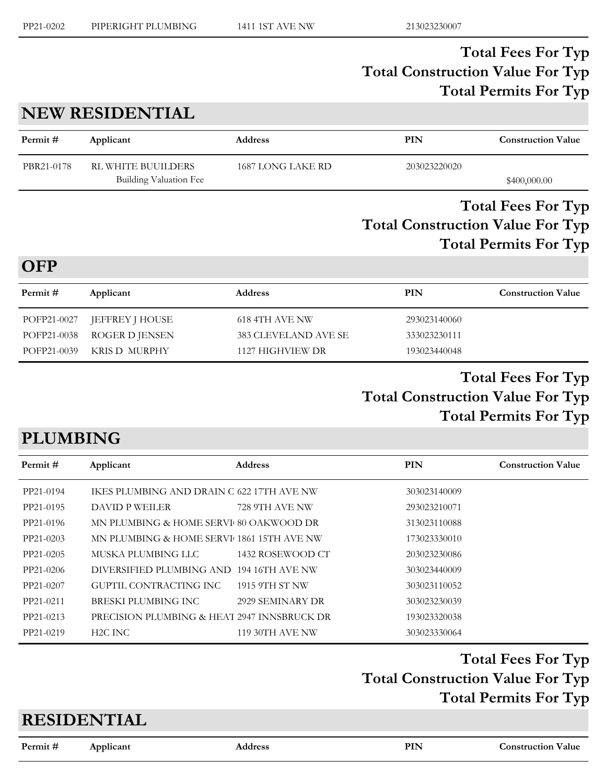## **NEW RESIDENTIAL**

| Permit #   | Applicant                                    | <b>Address</b>    | PIN          | <b>Construction Value</b> |
|------------|----------------------------------------------|-------------------|--------------|---------------------------|
| PBR21-0178 | RL WHITE BUUILDERS<br>Building Valuation Fee | 1687 LONG LAKE RD | 203023220020 | \$400,000.00              |
|            |                                              |                   |              | <b>Total Fees For Typ</b> |

# **Total Construction Value For Typ Total Permits For Typ**

#### **OFP**

| Permit #    | Applicant              | <b>Address</b>       | PIN          | <b>Construction Value</b> |
|-------------|------------------------|----------------------|--------------|---------------------------|
| POFP21-0027 | <b>JEFFREY J HOUSE</b> | 618 4TH AVE NW       | 293023140060 |                           |
| POFP21-0038 | ROGER D JENSEN         | 383 CLEVELAND AVE SE | 333023230111 |                           |
| POFP21-0039 | KRIS D-MURPHY          | 1127 HIGHVIEW DR     | 193023440048 |                           |
|             |                        |                      |              |                           |

#### **Total Construction Value For Typ Total Fees For Typ Total Permits For Typ**

# **PLUMBING**

| Permit#   | Applicant                                   | <b>Address</b>         | <b>PIN</b>   | <b>Construction Value</b> |
|-----------|---------------------------------------------|------------------------|--------------|---------------------------|
| PP21-0194 | IKES PLUMBING AND DRAIN C 622 17TH AVE NW   |                        | 303023140009 |                           |
| PP21-0195 | DAVID P WEILER                              | 728 9TH AVE NW         | 293023210071 |                           |
| PP21-0196 | MN PLUMBING & HOME SERVI 80 OAKWOOD DR      |                        | 313023110088 |                           |
| PP21-0203 | MN PLUMBING & HOME SERVI 1861 15TH AVE NW   |                        | 173023330010 |                           |
| PP21-0205 | MUSKA PLUMBING LLC                          | 1432 ROSEWOOD CT       | 203023230086 |                           |
| PP21-0206 | DIVERSIFIED PLUMBING AND 194 16TH AVE NW    |                        | 303023440009 |                           |
| PP21-0207 | GUPTIL CONTRACTING INC                      | 1915 9TH ST NW         | 303023110052 |                           |
| PP21-0211 | BRESKI PLUMBING INC                         | 2929 SEMINARY DR       | 303023230039 |                           |
| PP21-0213 | PRECISION PLUMBING & HEAT 2947 INNSBRUCK DR |                        | 193023320038 |                           |
| PP21-0219 | H2C INC                                     | <b>119 30TH AVE NW</b> | 303023330064 |                           |

#### **Total Construction Value For Typ Total Fees For Typ Total Permits For Typ**

#### **RESIDENTIAL**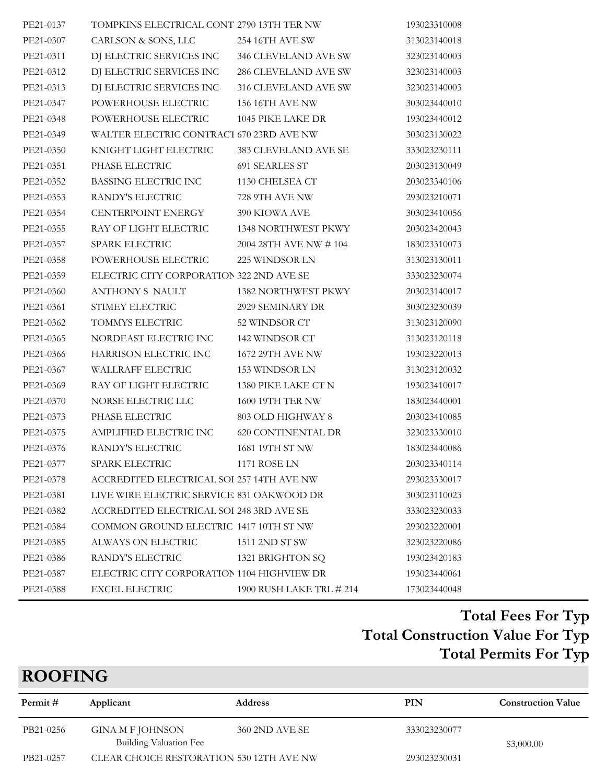| PE21-0137 | TOMPKINS ELECTRICAL CONT 2790 13TH TER NW  |                          | 193023310008 |
|-----------|--------------------------------------------|--------------------------|--------------|
| PE21-0307 | CARLSON & SONS, LLC                        | 254 16TH AVE SW          | 313023140018 |
| PE21-0311 | DJ ELECTRIC SERVICES INC                   | 346 CLEVELAND AVE SW     | 323023140003 |
| PE21-0312 | DJ ELECTRIC SERVICES INC                   | 286 CLEVELAND AVE SW     | 323023140003 |
| PE21-0313 | DJ ELECTRIC SERVICES INC                   | 316 CLEVELAND AVE SW     | 323023140003 |
| PE21-0347 | POWERHOUSE ELECTRIC                        | 156 16TH AVE NW          | 303023440010 |
| PE21-0348 | POWERHOUSE ELECTRIC                        | 1045 PIKE LAKE DR        | 193023440012 |
| PE21-0349 | WALTER ELECTRIC CONTRACT 670 23RD AVE NW   |                          | 303023130022 |
| PE21-0350 | KNIGHT LIGHT ELECTRIC                      | 383 CLEVELAND AVE SE     | 333023230111 |
| PE21-0351 | PHASE ELECTRIC                             | 691 SEARLES ST           | 203023130049 |
| PE21-0352 | BASSING ELECTRIC INC                       | 1130 CHELSEA CT          | 203023340106 |
| PE21-0353 | RANDY'S ELECTRIC                           | 728 9TH AVE NW           | 293023210071 |
| PE21-0354 | CENTERPOINT ENERGY                         | 390 KIOWA AVE            | 303023410056 |
| PE21-0355 | RAY OF LIGHT ELECTRIC                      | 1348 NORTHWEST PKWY      | 203023420043 |
| PE21-0357 | SPARK ELECTRIC                             | 2004 28TH AVE NW # 104   | 183023310073 |
| PE21-0358 | POWERHOUSE ELECTRIC                        | 225 WINDSOR LN           | 313023130011 |
| PE21-0359 | ELECTRIC CITY CORPORATION 322 2ND AVE SE   |                          | 333023230074 |
| PE21-0360 | ANTHONY S NAULT                            | 1382 NORTHWEST PKWY      | 203023140017 |
| PE21-0361 | STIMEY ELECTRIC                            | 2929 SEMINARY DR         | 303023230039 |
| PE21-0362 | TOMMYS ELECTRIC                            | 52 WINDSOR CT            | 313023120090 |
| PE21-0365 | NORDEAST ELECTRIC INC                      | 142 WINDSOR CT           | 313023120118 |
| PE21-0366 | HARRISON ELECTRIC INC                      | 1672 29TH AVE NW         | 193023220013 |
| PE21-0367 | WALLRAFF ELECTRIC                          | 153 WINDSOR LN           | 313023120032 |
| PE21-0369 | RAY OF LIGHT ELECTRIC                      | 1380 PIKE LAKE CT N      | 193023410017 |
| PE21-0370 | NORSE ELECTRIC LLC                         | 1600 19TH TER NW         | 183023440001 |
| PE21-0373 | PHASE ELECTRIC                             | 803 OLD HIGHWAY 8        | 203023410085 |
| PE21-0375 | AMPLIFIED ELECTRIC INC                     | 620 CONTINENTAL DR       | 323023330010 |
| PE21-0376 | RANDY'S ELECTRIC                           | 1681 19TH ST NW          | 183023440086 |
| PE21-0377 | SPARK ELECTRIC                             | 1171 ROSE LN             | 203023340114 |
| PE21-0378 | ACCREDITED ELECTRICAL SOI 257 14TH AVE NW  |                          | 293023330017 |
| PE21-0381 | LIVE WIRE ELECTRIC SERVICE 831 OAKWOOD DR  |                          | 303023110023 |
| PE21-0382 | ACCREDITED ELECTRICAL SOI 248 3RD AVE SE   |                          | 333023230033 |
| PE21-0384 | COMMON GROUND ELECTRIC 1417 10TH ST NW     |                          | 293023220001 |
| PE21-0385 | ALWAYS ON ELECTRIC                         | 1511 2ND ST SW           | 323023220086 |
| PE21-0386 | RANDY'S ELECTRIC                           | 1321 BRIGHTON SQ         | 193023420183 |
| PE21-0387 | ELECTRIC CITY CORPORATION 1104 HIGHVIEW DR |                          | 193023440061 |
| PE21-0388 | <b>EXCEL ELECTRIC</b>                      | 1900 RUSH LAKE TRL # 214 | 173023440048 |

# **ROOFING**

| Permit #  | Applicant                                  | <b>Address</b> | PIN          | <b>Construction Value</b> |
|-----------|--------------------------------------------|----------------|--------------|---------------------------|
| PB21-0256 | GINA M F JOHNSON<br>Building Valuation Fee | 360 2ND AVE SE | 333023230077 | \$3,000.00                |
| PB21-0257 | CLEAR CHOICE RESTORATION 530 12TH AVE NW   |                | 293023230031 |                           |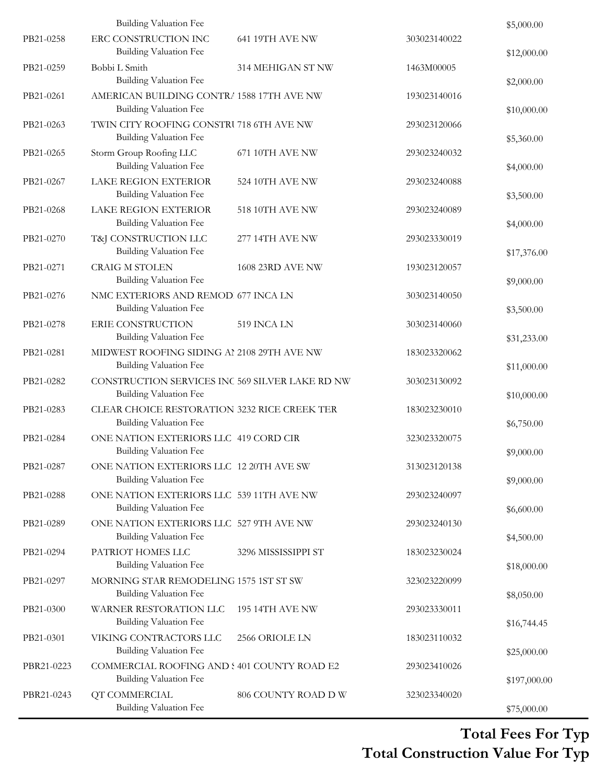|            | <b>Building Valuation Fee</b>                                                    |                     |              | \$5,000.00   |
|------------|----------------------------------------------------------------------------------|---------------------|--------------|--------------|
| PB21-0258  | ERC CONSTRUCTION INC<br><b>Building Valuation Fee</b>                            | 641 19TH AVE NW     | 303023140022 | \$12,000.00  |
| PB21-0259  | Bobbi L Smith<br><b>Building Valuation Fee</b>                                   | 314 MEHIGAN ST NW   | 1463M00005   | \$2,000.00   |
| PB21-0261  | AMERICAN BUILDING CONTR/ 1588 17TH AVE NW<br><b>Building Valuation Fee</b>       |                     | 193023140016 | \$10,000.00  |
| PB21-0263  | TWIN CITY ROOFING CONSTRU718 6TH AVE NW<br><b>Building Valuation Fee</b>         |                     | 293023120066 | \$5,360.00   |
| PB21-0265  | Storm Group Roofing LLC<br>Building Valuation Fee                                | 671 10TH AVE NW     | 293023240032 | \$4,000.00   |
| PB21-0267  | LAKE REGION EXTERIOR<br><b>Building Valuation Fee</b>                            | 524 10TH AVE NW     | 293023240088 | \$3,500.00   |
| PB21-0268  | <b>LAKE REGION EXTERIOR</b><br><b>Building Valuation Fee</b>                     | 518 10TH AVE NW     | 293023240089 | \$4,000.00   |
| PB21-0270  | T&J CONSTRUCTION LLC<br><b>Building Valuation Fee</b>                            | 277 14TH AVE NW     | 293023330019 | \$17,376.00  |
| PB21-0271  | <b>CRAIG M STOLEN</b><br><b>Building Valuation Fee</b>                           | 1608 23RD AVE NW    | 193023120057 | \$9,000.00   |
| PB21-0276  | NMC EXTERIORS AND REMOD 677 INCA LN<br><b>Building Valuation Fee</b>             |                     | 303023140050 | \$3,500.00   |
| PB21-0278  | ERIE CONSTRUCTION<br><b>Building Valuation Fee</b>                               | 519 INCA LN         | 303023140060 | \$31,233.00  |
| PB21-0281  | MIDWEST ROOFING SIDING AI 2108 29TH AVE NW<br>Building Valuation Fee             |                     | 183023320062 | \$11,000.00  |
| PB21-0282  | CONSTRUCTION SERVICES INC 569 SILVER LAKE RD NW<br><b>Building Valuation Fee</b> |                     | 303023130092 | \$10,000.00  |
| PB21-0283  | CLEAR CHOICE RESTORATION 3232 RICE CREEK TER<br><b>Building Valuation Fee</b>    |                     | 183023230010 | \$6,750.00   |
| PB21-0284  | ONE NATION EXTERIORS LLC 419 CORD CIR<br><b>Building Valuation Fee</b>           |                     | 323023320075 | \$9,000.00   |
| PB21-0287  | ONE NATION EXTERIORS LLC 12 20TH AVE SW<br><b>Building Valuation Fee</b>         |                     | 313023120138 | \$9,000.00   |
| PB21-0288  | ONE NATION EXTERIORS LLC 539 11TH AVE NW<br><b>Building Valuation Fee</b>        |                     | 293023240097 | \$6,600.00   |
| PB21-0289  | ONE NATION EXTERIORS LLC 527 9TH AVE NW<br><b>Building Valuation Fee</b>         |                     | 293023240130 | \$4,500.00   |
| PB21-0294  | PATRIOT HOMES LLC<br><b>Building Valuation Fee</b>                               | 3296 MISSISSIPPI ST | 183023230024 | \$18,000.00  |
| PB21-0297  | MORNING STAR REMODELING 1575 1ST ST SW<br><b>Building Valuation Fee</b>          |                     | 323023220099 |              |
| PB21-0300  | WARNER RESTORATION LLC<br><b>Building Valuation Fee</b>                          | 195 14TH AVE NW     | 293023330011 | \$8,050.00   |
| PB21-0301  | VIKING CONTRACTORS LLC                                                           | 2566 ORIOLE LN      | 183023110032 | \$16,744.45  |
| PBR21-0223 | <b>Building Valuation Fee</b><br>COMMERCIAL ROOFING AND : 401 COUNTY ROAD E2     |                     | 293023410026 | \$25,000.00  |
| PBR21-0243 | <b>Building Valuation Fee</b><br>QT COMMERCIAL                                   | 806 COUNTY ROAD D W | 323023340020 | \$197,000.00 |
|            | <b>Building Valuation Fee</b>                                                    |                     |              | \$75,000.00  |

#### **Total Construction Value For Typ Total Fees For Typ**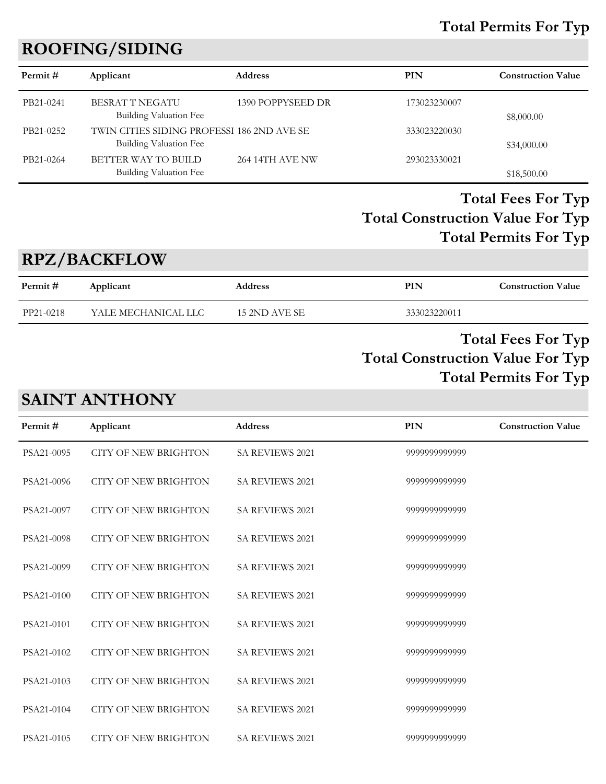#### **Total Permits For Typ**

# **ROOFING/SIDING**

| Permit#   | Applicant                                                            | <b>Address</b>    | PIN          | <b>Construction Value</b> |
|-----------|----------------------------------------------------------------------|-------------------|--------------|---------------------------|
| PB21-0241 | <b>BESRAT T NEGATU</b><br>Building Valuation Fee                     | 1390 POPPYSEED DR | 173023230007 | \$8,000.00                |
| PB21-0252 | TWIN CITIES SIDING PROFESSI 186 2ND AVE SE<br>Building Valuation Fee |                   | 333023220030 | \$34,000.00               |
| PB21-0264 | BETTER WAY TO BUILD<br>Building Valuation Fee                        | 264 14TH AVE NW   | 293023330021 | \$18,500.00               |

### **Total Construction Value For Typ Total Fees For Typ Total Permits For Typ**

#### **RPZ/BACKFLOW**

| Permit #  | Applicant           | <b>Address</b> | PIN          | <b>Construction Value</b> |
|-----------|---------------------|----------------|--------------|---------------------------|
| PP21-0218 | YALE MECHANICAL LLC | 15 2ND AVE SE  | 333023220011 |                           |
|           |                     |                | <b>THAT</b>  | $\mathbf{H}$              |

#### **Total Construction Value For Typ Total Fees For Typ Total Permits For Typ**

# **SAINT ANTHONY**

| Permit#    | Applicant                   | <b>Address</b>         | <b>PIN</b>    | <b>Construction Value</b> |
|------------|-----------------------------|------------------------|---------------|---------------------------|
| PSA21-0095 | <b>CITY OF NEW BRIGHTON</b> | <b>SA REVIEWS 2021</b> | 9999999999999 |                           |
| PSA21-0096 | <b>CITY OF NEW BRIGHTON</b> | SA REVIEWS 2021        | 9999999999999 |                           |
| PSA21-0097 | <b>CITY OF NEW BRIGHTON</b> | SA REVIEWS 2021        | 9999999999999 |                           |
| PSA21-0098 | <b>CITY OF NEW BRIGHTON</b> | <b>SA REVIEWS 2021</b> | 9999999999999 |                           |
| PSA21-0099 | <b>CITY OF NEW BRIGHTON</b> | <b>SA REVIEWS 2021</b> | 9999999999999 |                           |
| PSA21-0100 | <b>CITY OF NEW BRIGHTON</b> | <b>SA REVIEWS 2021</b> | 9999999999999 |                           |
| PSA21-0101 | <b>CITY OF NEW BRIGHTON</b> | SA REVIEWS 2021        | 9999999999999 |                           |
| PSA21-0102 | <b>CITY OF NEW BRIGHTON</b> | <b>SA REVIEWS 2021</b> | 9999999999999 |                           |
| PSA21-0103 | <b>CITY OF NEW BRIGHTON</b> | <b>SA REVIEWS 2021</b> | 9999999999999 |                           |
| PSA21-0104 | <b>CITY OF NEW BRIGHTON</b> | <b>SA REVIEWS 2021</b> | 9999999999999 |                           |
| PSA21-0105 | <b>CITY OF NEW BRIGHTON</b> | <b>SA REVIEWS 2021</b> | 9999999999999 |                           |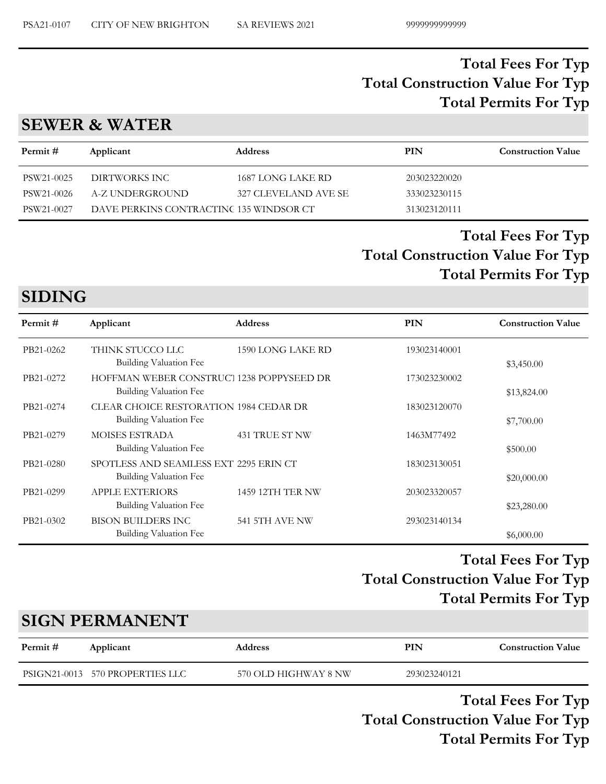#### **SEWER & WATER**

| Permit#    | Applicant                               | <b>Address</b>       | PIN          | <b>Construction Value</b> |
|------------|-----------------------------------------|----------------------|--------------|---------------------------|
| PSW21-0025 | DIRTWORKS INC                           | 1687 LONG LAKE RD    | 203023220020 |                           |
| PSW21-0026 | A-Z UNDERGROUND                         | 327 CLEVELAND AVE SE | 333023230115 |                           |
| PSW21-0027 | DAVE PERKINS CONTRACTINC 135 WINDSOR CT |                      | 313023120111 |                           |

## **Total Construction Value For Typ Total Fees For Typ Total Permits For Typ**

# **SIDING**

| Permit#   | Applicant                                                               | <b>Address</b>          | <b>PIN</b>   | <b>Construction Value</b> |
|-----------|-------------------------------------------------------------------------|-------------------------|--------------|---------------------------|
| PB21-0262 | THINK STUCCO LLC<br>Building Valuation Fee                              | 1590 LONG LAKE RD       | 193023140001 | \$3,450.00                |
| PB21-0272 | HOFFMAN WEBER CONSTRUCT 1238 POPPYSEED DR<br>Building Valuation Fee     |                         | 173023230002 | \$13,824.00               |
| PB21-0274 | <b>CLEAR CHOICE RESTORATION 1984 CEDAR DR</b><br>Building Valuation Fee |                         | 183023120070 | \$7,700.00                |
| PB21-0279 | <b>MOISES ESTRADA</b><br><b>Building Valuation Fee</b>                  | 431 TRUE ST NW          | 1463M77492   | \$500.00                  |
| PB21-0280 | SPOTLESS AND SEAMLESS EXT 2295 ERIN CT<br>Building Valuation Fee        |                         | 183023130051 | \$20,000.00               |
| PB21-0299 | <b>APPLE EXTERIORS</b><br><b>Building Valuation Fee</b>                 | <b>1459 12TH TER NW</b> | 203023320057 | \$23,280.00               |
| PB21-0302 | <b>BISON BUILDERS INC</b><br>Building Valuation Fee                     | <b>541 5TH AVE NW</b>   | 293023140134 | \$6,000.00                |

#### **Total Construction Value For Typ Total Fees For Typ Total Permits For Typ**

# **SIGN PERMANENT**

| Permit # | Applicant                       | <b>Address</b>       | PIN          | <b>Construction Value</b> |
|----------|---------------------------------|----------------------|--------------|---------------------------|
|          | PSIGN21-0013 570 PROPERTIES LLC | 570 OLD HIGHWAY 8 NW | 293023240121 |                           |

**Total Construction Value For Typ Total Fees For Typ Total Permits For Typ**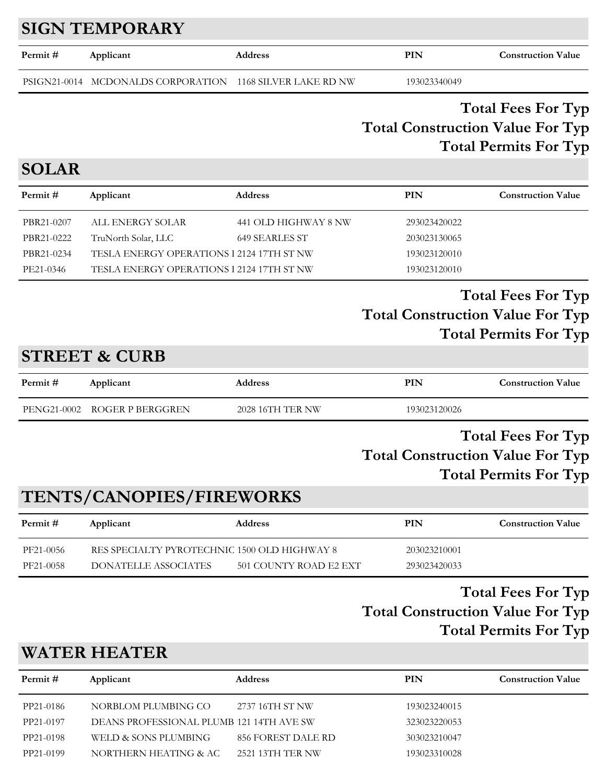# **SIGN TEMPORARY**

| Permit # | Applicant                                                 | <b>Address</b> | PIN          | <b>Construction Value</b> |
|----------|-----------------------------------------------------------|----------------|--------------|---------------------------|
|          | PSIGN21-0014 MCDONALDS CORPORATION 1168 SILVER LAKE RD NW |                | 193023340049 |                           |

#### **Total Construction Value For Typ Total Fees For Typ Total Permits For Typ**

# **SOLAR**

| Permit #   | Applicant                                 | <b>Address</b>       | PIN          | <b>Construction Value</b> |
|------------|-------------------------------------------|----------------------|--------------|---------------------------|
| PBR21-0207 | ALL ENERGY SOLAR                          | 441 OLD HIGHWAY 8 NW | 293023420022 |                           |
| PBR21-0222 | TruNorth Solar, LLC                       | 649 SEARLES ST       | 203023130065 |                           |
| PBR21-0234 | TESLA ENERGY OPERATIONS 1 2124 17TH ST NW |                      | 193023120010 |                           |
| PE21-0346  | TESLA ENERGY OPERATIONS 1 2124 17TH ST NW |                      | 193023120010 |                           |

#### **Total Construction Value For Typ Total Fees For Typ Total Permits For Typ**

# **STREET & CURB**

| Permit # | Applicant                    | <b>Address</b>   | PIN          | <b>Construction Value</b> |
|----------|------------------------------|------------------|--------------|---------------------------|
|          | PENG21-0002 ROGER P BERGGREN | 2028 16TH TER NW | 193023120026 |                           |

#### **Total Construction Value For Typ Total Fees For Typ Total Permits For Typ**

# **TENTS/CANOPIES/FIREWORKS**

| Permit #  | Applicant                                    | <b>Address</b>         | PIN          | <b>Construction Value</b> |
|-----------|----------------------------------------------|------------------------|--------------|---------------------------|
| PF21-0056 | RES SPECIALTY PYROTECHNIC 1500 OLD HIGHWAY 8 |                        | 203023210001 |                           |
| PF21-0058 | DONATELLE ASSOCIATES                         | 501 COUNTY ROAD E2 EXT | 293023420033 |                           |

#### **Total Construction Value For Typ Total Fees For Typ Total Permits For Typ**

# **WATER HEATER**

| Permit#   | Applicant                                | <b>Address</b>     | PIN          | <b>Construction Value</b> |
|-----------|------------------------------------------|--------------------|--------------|---------------------------|
| PP21-0186 | NORBLOM PLUMBING CO                      | 2737 16TH ST NW    | 193023240015 |                           |
| PP21-0197 | DEANS PROFESSIONAL PLUMB 121 14TH AVE SW |                    | 323023220053 |                           |
| PP21-0198 | WELD & SONS PLUMBING                     | 856 FOREST DALE RD | 303023210047 |                           |
| PP21-0199 | NORTHERN HEATING & AC                    | 2521 13TH TER NW   | 193023310028 |                           |
|           |                                          |                    |              |                           |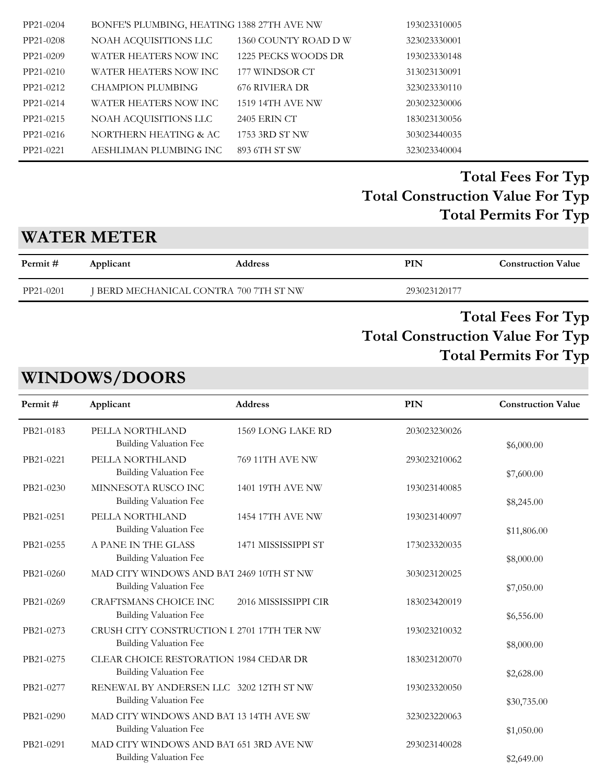| PP21-0204 | BONFE'S PLUMBING, HEATING 1388 27TH AVE NW |                     | 193023310005 |
|-----------|--------------------------------------------|---------------------|--------------|
| PP21-0208 | NOAH ACQUISITIONS LLC                      | 1360 COUNTY ROAD DW | 323023330001 |
| PP21-0209 | WATER HEATERS NOW INC                      | 1225 PECKS WOODS DR | 193023330148 |
| PP21-0210 | WATER HEATERS NOW INC                      | 177 WINDSOR CT      | 313023130091 |
| PP21-0212 | CHAMPION PLUMBING                          | 676 RIVIERA DR      | 323023330110 |
| PP21-0214 | WATER HEATERS NOW INC                      | 1519 14TH AVE NW    | 203023230006 |
| PP21-0215 | NOAH ACQUISITIONS LLC                      | 2405 ERIN CT        | 183023130056 |
| PP21-0216 | NORTHERN HEATING & AC                      | 1753 3RD ST NW      | 303023440035 |
| PP21-0221 | AESHLIMAN PLUMBING INC                     | 893 6TH ST SW       | 323023340004 |

# **WATER METER**

| Permit #  | Applicant                              | <b>Address</b> | PIN          | <b>Construction Value</b> |
|-----------|----------------------------------------|----------------|--------------|---------------------------|
| PP21-0201 | I BERD MECHANICAL CONTRA 700 7TH ST NW |                | 293023120177 |                           |

#### **Total Construction Value For Typ Total Fees For Typ Total Permits For Typ**

# **WINDOWS/DOORS**

| PB21-0183 | PELLA NORTHLAND<br>Building Valuation Fee                                   | 1569 LONG LAKE RD    | 203023230026 |             |
|-----------|-----------------------------------------------------------------------------|----------------------|--------------|-------------|
|           |                                                                             |                      |              | \$6,000.00  |
| PB21-0221 | PELLA NORTHLAND<br><b>Building Valuation Fee</b>                            | 769 11TH AVE NW      | 293023210062 | \$7,600.00  |
| PB21-0230 | MINNESOTA RUSCO INC<br><b>Building Valuation Fee</b>                        | 1401 19TH AVE NW     | 193023140085 | \$8,245.00  |
| PB21-0251 | PELLA NORTHLAND<br><b>Building Valuation Fee</b>                            | 1454 17TH AVE NW     | 193023140097 | \$11,806.00 |
| PB21-0255 | A PANE IN THE GLASS<br>Building Valuation Fee                               | 1471 MISSISSIPPI ST  | 173023320035 | \$8,000.00  |
| PB21-0260 | MAD CITY WINDOWS AND BAT 2469 10TH ST NW<br><b>Building Valuation Fee</b>   |                      | 303023120025 | \$7,050.00  |
| PB21-0269 | <b>CRAFTSMANS CHOICE INC</b><br><b>Building Valuation Fee</b>               | 2016 MISSISSIPPI CIR | 183023420019 | \$6,556.00  |
| PB21-0273 | CRUSH CITY CONSTRUCTION I 2701 17TH TER NW<br><b>Building Valuation Fee</b> |                      | 193023210032 | \$8,000.00  |
| PB21-0275 | CLEAR CHOICE RESTORATION 1984 CEDAR DR<br><b>Building Valuation Fee</b>     |                      | 183023120070 | \$2,628.00  |
| PB21-0277 | RENEWAL BY ANDERSEN LLC 3202 12TH ST NW<br>Building Valuation Fee           |                      | 193023320050 | \$30,735.00 |
| PB21-0290 | MAD CITY WINDOWS AND BAT 13 14TH AVE SW<br><b>Building Valuation Fee</b>    |                      | 323023220063 | \$1,050.00  |
| PB21-0291 | MAD CITY WINDOWS AND BAT 651 3RD AVE NW<br>Building Valuation Fee           |                      | 293023140028 | \$2,649.00  |